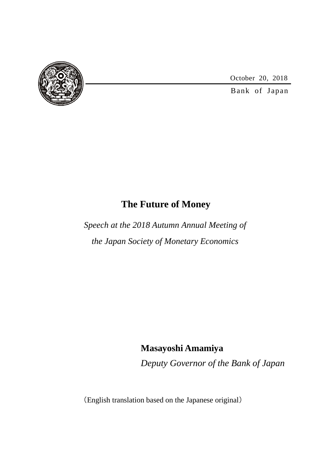

October 20, 2018

Bank of Japan

# **The Future of Money**

*Speech at the 2018 Autumn Annual Meeting of the Japan Society of Monetary Economics*

## **Masayoshi Amamiya**

*Deputy Governor of the Bank of Japan*

(English translation based on the Japanese original)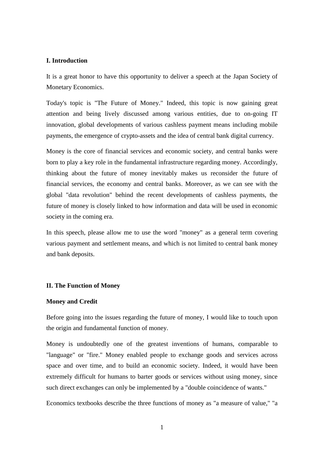## **I. Introduction**

It is a great honor to have this opportunity to deliver a speech at the Japan Society of Monetary Economics.

Today's topic is "The Future of Money." Indeed, this topic is now gaining great attention and being lively discussed among various entities, due to on-going IT innovation, global developments of various cashless payment means including mobile payments, the emergence of crypto-assets and the idea of central bank digital currency.

Money is the core of financial services and economic society, and central banks were born to play a key role in the fundamental infrastructure regarding money. Accordingly, thinking about the future of money inevitably makes us reconsider the future of financial services, the economy and central banks. Moreover, as we can see with the global "data revolution" behind the recent developments of cashless payments, the future of money is closely linked to how information and data will be used in economic society in the coming era.

In this speech, please allow me to use the word "money" as a general term covering various payment and settlement means, and which is not limited to central bank money and bank deposits.

## **II. The Function of Money**

#### **Money and Credit**

Before going into the issues regarding the future of money, I would like to touch upon the origin and fundamental function of money.

Money is undoubtedly one of the greatest inventions of humans, comparable to "language" or "fire." Money enabled people to exchange goods and services across space and over time, and to build an economic society. Indeed, it would have been extremely difficult for humans to barter goods or services without using money, since such direct exchanges can only be implemented by a "double coincidence of wants."

Economics textbooks describe the three functions of money as "a measure of value," "a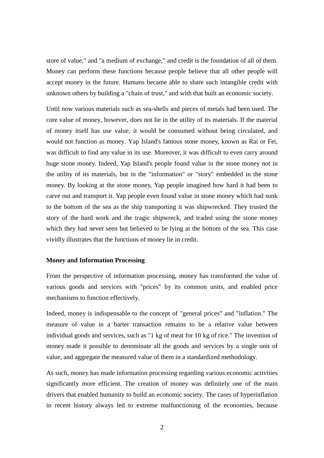store of value," and "a medium of exchange," and credit is the foundation of all of them. Money can perform these functions because people believe that all other people will accept money in the future. Humans became able to share such intangible credit with unknown others by building a "chain of trust," and with that built an economic society.

Until now various materials such as sea-shells and pieces of metals had been used. The core value of money, however, does not lie in the utility of its materials. If the material of money itself has use value, it would be consumed without being circulated, and would not function as money. Yap Island's famous stone money, known as Rai or Fei, was difficult to find any value in its use. Moreover, it was difficult to even carry around huge stone money. Indeed, Yap Island's people found value in the stone money not in the utility of its materials, but in the "information" or "story" embedded in the stone money. By looking at the stone money, Yap people imagined how hard it had been to carve out and transport it. Yap people even found value in stone money which had sunk to the bottom of the sea as the ship transporting it was shipwrecked. They trusted the story of the hard work and the tragic shipwreck, and traded using the stone money which they had never seen but believed to be lying at the bottom of the sea. This case vividly illustrates that the functions of money lie in credit.

#### **Money and Information Processing**

From the perspective of information processing, money has transformed the value of various goods and services with "prices" by its common units, and enabled price mechanisms to function effectively.

Indeed, money is indispensable to the concept of "general prices" and "inflation." The measure of value in a barter transaction remains to be a relative value between individual goods and services, such as "1 kg of meat for 10 kg of rice." The invention of money made it possible to denominate all the goods and services by a single unit of value, and aggregate the measured value of them in a standardized methodology.

As such, money has made information processing regarding various economic activities significantly more efficient. The creation of money was definitely one of the main drivers that enabled humanity to build an economic society. The cases of hyperinflation in recent history always led to extreme malfunctioning of the economies, because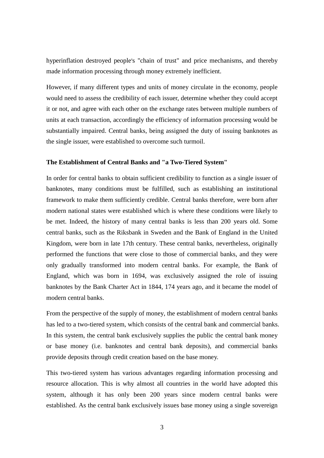hyperinflation destroyed people's "chain of trust" and price mechanisms, and thereby made information processing through money extremely inefficient.

However, if many different types and units of money circulate in the economy, people would need to assess the credibility of each issuer, determine whether they could accept it or not, and agree with each other on the exchange rates between multiple numbers of units at each transaction, accordingly the efficiency of information processing would be substantially impaired. Central banks, being assigned the duty of issuing banknotes as the single issuer, were established to overcome such turmoil.

#### **The Establishment of Central Banks and "a Two-Tiered System"**

In order for central banks to obtain sufficient credibility to function as a single issuer of banknotes, many conditions must be fulfilled, such as establishing an institutional framework to make them sufficiently credible. Central banks therefore, were born after modern national states were established which is where these conditions were likely to be met. Indeed, the history of many central banks is less than 200 years old. Some central banks, such as the Riksbank in Sweden and the Bank of England in the United Kingdom, were born in late 17th century. These central banks, nevertheless, originally performed the functions that were close to those of commercial banks, and they were only gradually transformed into modern central banks. For example, the Bank of England, which was born in 1694, was exclusively assigned the role of issuing banknotes by the Bank Charter Act in 1844, 174 years ago, and it became the model of modern central banks.

From the perspective of the supply of money, the establishment of modern central banks has led to a two-tiered system, which consists of the central bank and commercial banks. In this system, the central bank exclusively supplies the public the central bank money or base money (i.e. banknotes and central bank deposits), and commercial banks provide deposits through credit creation based on the base money.

This two-tiered system has various advantages regarding information processing and resource allocation. This is why almost all countries in the world have adopted this system, although it has only been 200 years since modern central banks were established. As the central bank exclusively issues base money using a single sovereign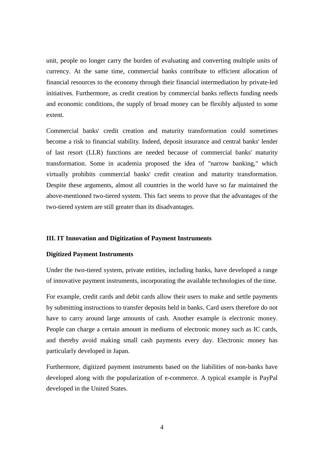unit, people no longer carry the burden of evaluating and converting multiple units of currency. At the same time, commercial banks contribute to efficient allocation of financial resources to the economy through their financial intermediation by private-led initiatives. Furthermore, as credit creation by commercial banks reflects funding needs and economic conditions, the supply of broad money can be flexibly adjusted to some extent.

Commercial banks' credit creation and maturity transformation could sometimes become a risk to financial stability. Indeed, deposit insurance and central banks' lender of last resort (LLR) functions are needed because of commercial banks' maturity transformation. Some in academia proposed the idea of "narrow banking," which virtually prohibits commercial banks' credit creation and maturity transformation. Despite these arguments, almost all countries in the world have so far maintained the above-mentioned two-tiered system. This fact seems to prove that the advantages of the two-tiered system are still greater than its disadvantages.

#### **III. IT Innovation and Digitization of Payment Instruments**

#### **Digitized Payment Instruments**

Under the two-tiered system, private entities, including banks, have developed a range of innovative payment instruments, incorporating the available technologies of the time.

For example, credit cards and debit cards allow their users to make and settle payments by submitting instructions to transfer deposits held in banks. Card users therefore do not have to carry around large amounts of cash. Another example is electronic money. People can charge a certain amount in mediums of electronic money such as IC cards, and thereby avoid making small cash payments every day. Electronic money has particularly developed in Japan.

Furthermore, digitized payment instruments based on the liabilities of non-banks have developed along with the popularization of e-commerce. A typical example is PayPal developed in the United States.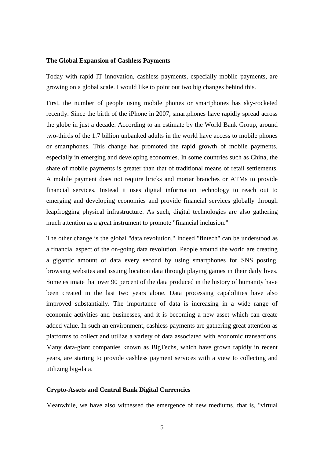#### **The Global Expansion of Cashless Payments**

Today with rapid IT innovation, cashless payments, especially mobile payments, are growing on a global scale. I would like to point out two big changes behind this.

First, the number of people using mobile phones or smartphones has sky-rocketed recently. Since the birth of the iPhone in 2007, smartphones have rapidly spread across the globe in just a decade. According to an estimate by the World Bank Group, around two-thirds of the 1.7 billion unbanked adults in the world have access to mobile phones or smartphones. This change has promoted the rapid growth of mobile payments, especially in emerging and developing economies. In some countries such as China, the share of mobile payments is greater than that of traditional means of retail settlements. A mobile payment does not require bricks and mortar branches or ATMs to provide financial services. Instead it uses digital information technology to reach out to emerging and developing economies and provide financial services globally through leapfrogging physical infrastructure. As such, digital technologies are also gathering much attention as a great instrument to promote "financial inclusion."

The other change is the global "data revolution." Indeed "fintech" can be understood as a financial aspect of the on-going data revolution. People around the world are creating a gigantic amount of data every second by using smartphones for SNS posting, browsing websites and issuing location data through playing games in their daily lives. Some estimate that over 90 percent of the data produced in the history of humanity have been created in the last two years alone. Data processing capabilities have also improved substantially. The importance of data is increasing in a wide range of economic activities and businesses, and it is becoming a new asset which can create added value. In such an environment, cashless payments are gathering great attention as platforms to collect and utilize a variety of data associated with economic transactions. Many data-giant companies known as BigTechs, which have grown rapidly in recent years, are starting to provide cashless payment services with a view to collecting and utilizing big-data.

## **Crypto-Assets and Central Bank Digital Currencies**

Meanwhile, we have also witnessed the emergence of new mediums, that is, "virtual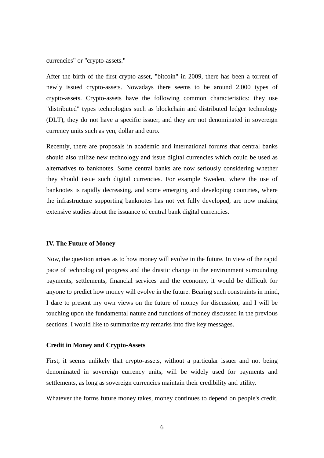currencies" or "crypto-assets."

After the birth of the first crypto-asset, "bitcoin" in 2009, there has been a torrent of newly issued crypto-assets. Nowadays there seems to be around 2,000 types of crypto-assets. Crypto-assets have the following common characteristics: they use "distributed" types technologies such as blockchain and distributed ledger technology (DLT), they do not have a specific issuer, and they are not denominated in sovereign currency units such as yen, dollar and euro.

Recently, there are proposals in academic and international forums that central banks should also utilize new technology and issue digital currencies which could be used as alternatives to banknotes. Some central banks are now seriously considering whether they should issue such digital currencies. For example Sweden, where the use of banknotes is rapidly decreasing, and some emerging and developing countries, where the infrastructure supporting banknotes has not yet fully developed, are now making extensive studies about the issuance of central bank digital currencies.

#### **IV. The Future of Money**

Now, the question arises as to how money will evolve in the future. In view of the rapid pace of technological progress and the drastic change in the environment surrounding payments, settlements, financial services and the economy, it would be difficult for anyone to predict how money will evolve in the future. Bearing such constraints in mind, I dare to present my own views on the future of money for discussion, and I will be touching upon the fundamental nature and functions of money discussed in the previous sections. I would like to summarize my remarks into five key messages.

#### **Credit in Money and Crypto-Assets**

First, it seems unlikely that crypto-assets, without a particular issuer and not being denominated in sovereign currency units, will be widely used for payments and settlements, as long as sovereign currencies maintain their credibility and utility.

Whatever the forms future money takes, money continues to depend on people's credit,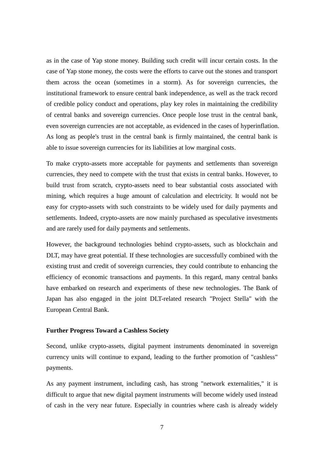as in the case of Yap stone money. Building such credit will incur certain costs. In the case of Yap stone money, the costs were the efforts to carve out the stones and transport them across the ocean (sometimes in a storm). As for sovereign currencies, the institutional framework to ensure central bank independence, as well as the track record of credible policy conduct and operations, play key roles in maintaining the credibility of central banks and sovereign currencies. Once people lose trust in the central bank, even sovereign currencies are not acceptable, as evidenced in the cases of hyperinflation. As long as people's trust in the central bank is firmly maintained, the central bank is able to issue sovereign currencies for its liabilities at low marginal costs.

To make crypto-assets more acceptable for payments and settlements than sovereign currencies, they need to compete with the trust that exists in central banks. However, to build trust from scratch, crypto-assets need to bear substantial costs associated with mining, which requires a huge amount of calculation and electricity. It would not be easy for crypto-assets with such constraints to be widely used for daily payments and settlements. Indeed, crypto-assets are now mainly purchased as speculative investments and are rarely used for daily payments and settlements.

However, the background technologies behind crypto-assets, such as blockchain and DLT, may have great potential. If these technologies are successfully combined with the existing trust and credit of sovereign currencies, they could contribute to enhancing the efficiency of economic transactions and payments. In this regard, many central banks have embarked on research and experiments of these new technologies. The Bank of Japan has also engaged in the joint DLT-related research "Project Stella" with the European Central Bank.

#### **Further Progress Toward a Cashless Society**

Second, unlike crypto-assets, digital payment instruments denominated in sovereign currency units will continue to expand, leading to the further promotion of "cashless" payments.

As any payment instrument, including cash, has strong "network externalities," it is difficult to argue that new digital payment instruments will become widely used instead of cash in the very near future. Especially in countries where cash is already widely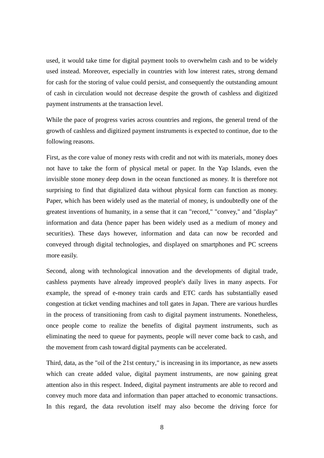used, it would take time for digital payment tools to overwhelm cash and to be widely used instead. Moreover, especially in countries with low interest rates, strong demand for cash for the storing of value could persist, and consequently the outstanding amount of cash in circulation would not decrease despite the growth of cashless and digitized payment instruments at the transaction level.

While the pace of progress varies across countries and regions, the general trend of the growth of cashless and digitized payment instruments is expected to continue, due to the following reasons.

First, as the core value of money rests with credit and not with its materials, money does not have to take the form of physical metal or paper. In the Yap Islands, even the invisible stone money deep down in the ocean functioned as money. It is therefore not surprising to find that digitalized data without physical form can function as money. Paper, which has been widely used as the material of money, is undoubtedly one of the greatest inventions of humanity, in a sense that it can "record," "convey," and "display" information and data (hence paper has been widely used as a medium of money and securities). These days however, information and data can now be recorded and conveyed through digital technologies, and displayed on smartphones and PC screens more easily.

Second, along with technological innovation and the developments of digital trade, cashless payments have already improved people's daily lives in many aspects. For example, the spread of e-money train cards and ETC cards has substantially eased congestion at ticket vending machines and toll gates in Japan. There are various hurdles in the process of transitioning from cash to digital payment instruments. Nonetheless, once people come to realize the benefits of digital payment instruments, such as eliminating the need to queue for payments, people will never come back to cash, and the movement from cash toward digital payments can be accelerated.

Third, data, as the "oil of the 21st century," is increasing in its importance, as new assets which can create added value, digital payment instruments, are now gaining great attention also in this respect. Indeed, digital payment instruments are able to record and convey much more data and information than paper attached to economic transactions. In this regard, the data revolution itself may also become the driving force for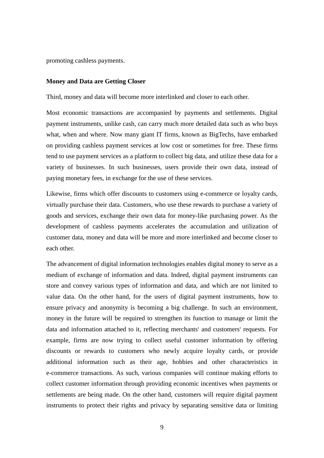promoting cashless payments.

#### **Money and Data are Getting Closer**

Third, money and data will become more interlinked and closer to each other.

Most economic transactions are accompanied by payments and settlements. Digital payment instruments, unlike cash, can carry much more detailed data such as who buys what, when and where. Now many giant IT firms, known as BigTechs, have embarked on providing cashless payment services at low cost or sometimes for free. These firms tend to use payment services as a platform to collect big data, and utilize these data for a variety of businesses. In such businesses, users provide their own data, instead of paying monetary fees, in exchange for the use of these services.

Likewise, firms which offer discounts to customers using e-commerce or loyalty cards, virtually purchase their data. Customers, who use these rewards to purchase a variety of goods and services, exchange their own data for money-like purchasing power. As the development of cashless payments accelerates the accumulation and utilization of customer data, money and data will be more and more interlinked and become closer to each other.

The advancement of digital information technologies enables digital money to serve as a medium of exchange of information and data. Indeed, digital payment instruments can store and convey various types of information and data, and which are not limited to value data. On the other hand, for the users of digital payment instruments, how to ensure privacy and anonymity is becoming a big challenge. In such an environment, money in the future will be required to strengthen its function to manage or limit the data and information attached to it, reflecting merchants' and customers' requests. For example, firms are now trying to collect useful customer information by offering discounts or rewards to customers who newly acquire loyalty cards, or provide additional information such as their age, hobbies and other characteristics in e-commerce transactions. As such, various companies will continue making efforts to collect customer information through providing economic incentives when payments or settlements are being made. On the other hand, customers will require digital payment instruments to protect their rights and privacy by separating sensitive data or limiting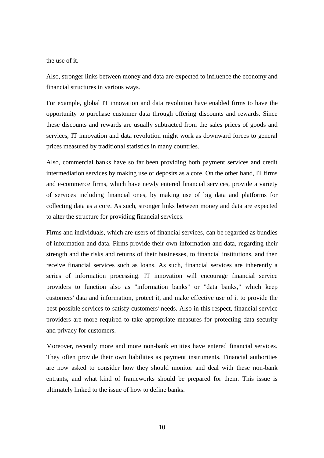the use of it.

Also, stronger links between money and data are expected to influence the economy and financial structures in various ways.

For example, global IT innovation and data revolution have enabled firms to have the opportunity to purchase customer data through offering discounts and rewards. Since these discounts and rewards are usually subtracted from the sales prices of goods and services, IT innovation and data revolution might work as downward forces to general prices measured by traditional statistics in many countries.

Also, commercial banks have so far been providing both payment services and credit intermediation services by making use of deposits as a core. On the other hand, IT firms and e-commerce firms, which have newly entered financial services, provide a variety of services including financial ones, by making use of big data and platforms for collecting data as a core. As such, stronger links between money and data are expected to alter the structure for providing financial services.

Firms and individuals, which are users of financial services, can be regarded as bundles of information and data. Firms provide their own information and data, regarding their strength and the risks and returns of their businesses, to financial institutions, and then receive financial services such as loans. As such, financial services are inherently a series of information processing. IT innovation will encourage financial service providers to function also as "information banks" or "data banks," which keep customers' data and information, protect it, and make effective use of it to provide the best possible services to satisfy customers' needs. Also in this respect, financial service providers are more required to take appropriate measures for protecting data security and privacy for customers.

Moreover, recently more and more non-bank entities have entered financial services. They often provide their own liabilities as payment instruments. Financial authorities are now asked to consider how they should monitor and deal with these non-bank entrants, and what kind of frameworks should be prepared for them. This issue is ultimately linked to the issue of how to define banks.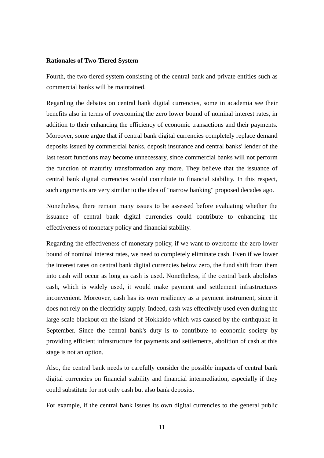#### **Rationales of Two-Tiered System**

Fourth, the two-tiered system consisting of the central bank and private entities such as commercial banks will be maintained.

Regarding the debates on central bank digital currencies, some in academia see their benefits also in terms of overcoming the zero lower bound of nominal interest rates, in addition to their enhancing the efficiency of economic transactions and their payments. Moreover, some argue that if central bank digital currencies completely replace demand deposits issued by commercial banks, deposit insurance and central banks' lender of the last resort functions may become unnecessary, since commercial banks will not perform the function of maturity transformation any more. They believe that the issuance of central bank digital currencies would contribute to financial stability. In this respect, such arguments are very similar to the idea of "narrow banking" proposed decades ago.

Nonetheless, there remain many issues to be assessed before evaluating whether the issuance of central bank digital currencies could contribute to enhancing the effectiveness of monetary policy and financial stability.

Regarding the effectiveness of monetary policy, if we want to overcome the zero lower bound of nominal interest rates, we need to completely eliminate cash. Even if we lower the interest rates on central bank digital currencies below zero, the fund shift from them into cash will occur as long as cash is used. Nonetheless, if the central bank abolishes cash, which is widely used, it would make payment and settlement infrastructures inconvenient. Moreover, cash has its own resiliency as a payment instrument, since it does not rely on the electricity supply. Indeed, cash was effectively used even during the large-scale blackout on the island of Hokkaido which was caused by the earthquake in September. Since the central bank's duty is to contribute to economic society by providing efficient infrastructure for payments and settlements, abolition of cash at this stage is not an option.

Also, the central bank needs to carefully consider the possible impacts of central bank digital currencies on financial stability and financial intermediation, especially if they could substitute for not only cash but also bank deposits.

For example, if the central bank issues its own digital currencies to the general public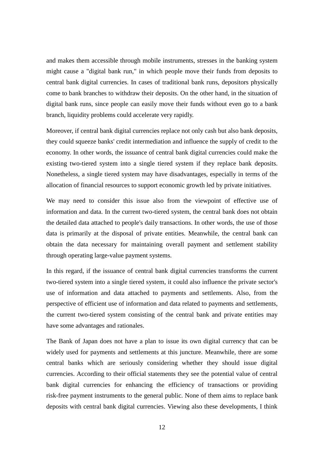and makes them accessible through mobile instruments, stresses in the banking system might cause a "digital bank run," in which people move their funds from deposits to central bank digital currencies. In cases of traditional bank runs, depositors physically come to bank branches to withdraw their deposits. On the other hand, in the situation of digital bank runs, since people can easily move their funds without even go to a bank branch, liquidity problems could accelerate very rapidly.

Moreover, if central bank digital currencies replace not only cash but also bank deposits, they could squeeze banks' credit intermediation and influence the supply of credit to the economy. In other words, the issuance of central bank digital currencies could make the existing two-tiered system into a single tiered system if they replace bank deposits. Nonetheless, a single tiered system may have disadvantages, especially in terms of the allocation of financial resources to support economic growth led by private initiatives.

We may need to consider this issue also from the viewpoint of effective use of information and data. In the current two-tiered system, the central bank does not obtain the detailed data attached to people's daily transactions. In other words, the use of those data is primarily at the disposal of private entities. Meanwhile, the central bank can obtain the data necessary for maintaining overall payment and settlement stability through operating large-value payment systems.

In this regard, if the issuance of central bank digital currencies transforms the current two-tiered system into a single tiered system, it could also influence the private sector's use of information and data attached to payments and settlements. Also, from the perspective of efficient use of information and data related to payments and settlements, the current two-tiered system consisting of the central bank and private entities may have some advantages and rationales.

The Bank of Japan does not have a plan to issue its own digital currency that can be widely used for payments and settlements at this juncture. Meanwhile, there are some central banks which are seriously considering whether they should issue digital currencies. According to their official statements they see the potential value of central bank digital currencies for enhancing the efficiency of transactions or providing risk-free payment instruments to the general public. None of them aims to replace bank deposits with central bank digital currencies. Viewing also these developments, I think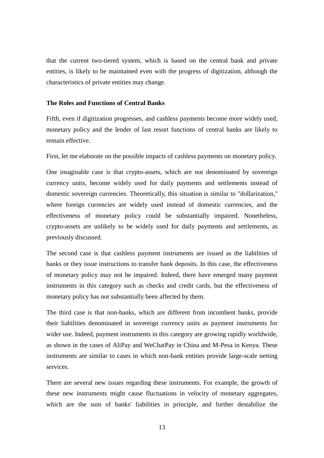that the current two-tiered system, which is based on the central bank and private entities, is likely to be maintained even with the progress of digitization, although the characteristics of private entities may change.

#### **The Roles and Functions of Central Banks**

Fifth, even if digitization progresses, and cashless payments become more widely used, monetary policy and the lender of last resort functions of central banks are likely to remain effective.

First, let me elaborate on the possible impacts of cashless payments on monetary policy.

One imaginable case is that crypto-assets, which are not denominated by sovereign currency units, become widely used for daily payments and settlements instead of domestic sovereign currencies. Theoretically, this situation is similar to "dollarization," where foreign currencies are widely used instead of domestic currencies, and the effectiveness of monetary policy could be substantially impaired. Nonetheless, crypto-assets are unlikely to be widely used for daily payments and settlements, as previously discussed.

The second case is that cashless payment instruments are issued as the liabilities of banks or they issue instructions to transfer bank deposits. In this case, the effectiveness of monetary policy may not be impaired. Indeed, there have emerged many payment instruments in this category such as checks and credit cards, but the effectiveness of monetary policy has not substantially been affected by them.

The third case is that non-banks, which are different from incumbent banks, provide their liabilities denominated in sovereign currency units as payment instruments for wider use. Indeed, payment instruments in this category are growing rapidly worldwide, as shown in the cases of AliPay and WeChatPay in China and M-Pesa in Kenya. These instruments are similar to cases in which non-bank entities provide large-scale netting services.

There are several new issues regarding these instruments. For example, the growth of these new instruments might cause fluctuations in velocity of monetary aggregates, which are the sum of banks' liabilities in principle, and further destabilize the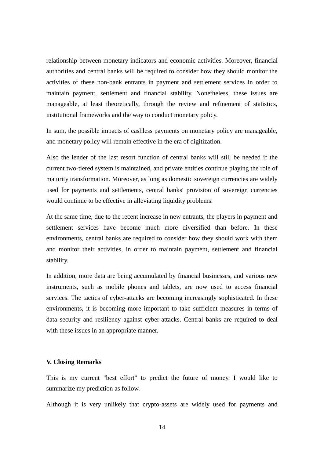relationship between monetary indicators and economic activities. Moreover, financial authorities and central banks will be required to consider how they should monitor the activities of these non-bank entrants in payment and settlement services in order to maintain payment, settlement and financial stability. Nonetheless, these issues are manageable, at least theoretically, through the review and refinement of statistics, institutional frameworks and the way to conduct monetary policy.

In sum, the possible impacts of cashless payments on monetary policy are manageable, and monetary policy will remain effective in the era of digitization.

Also the lender of the last resort function of central banks will still be needed if the current two-tiered system is maintained, and private entities continue playing the role of maturity transformation. Moreover, as long as domestic sovereign currencies are widely used for payments and settlements, central banks' provision of sovereign currencies would continue to be effective in alleviating liquidity problems.

At the same time, due to the recent increase in new entrants, the players in payment and settlement services have become much more diversified than before. In these environments, central banks are required to consider how they should work with them and monitor their activities, in order to maintain payment, settlement and financial stability.

In addition, more data are being accumulated by financial businesses, and various new instruments, such as mobile phones and tablets, are now used to access financial services. The tactics of cyber-attacks are becoming increasingly sophisticated. In these environments, it is becoming more important to take sufficient measures in terms of data security and resiliency against cyber-attacks. Central banks are required to deal with these issues in an appropriate manner.

## **V. Closing Remarks**

This is my current "best effort" to predict the future of money. I would like to summarize my prediction as follow.

Although it is very unlikely that crypto-assets are widely used for payments and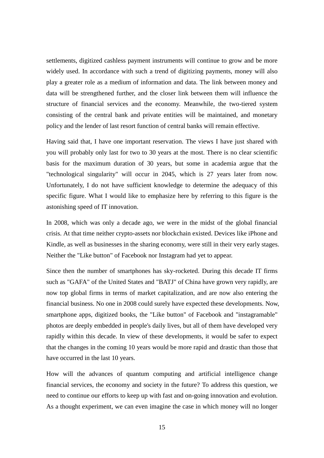settlements, digitized cashless payment instruments will continue to grow and be more widely used. In accordance with such a trend of digitizing payments, money will also play a greater role as a medium of information and data. The link between money and data will be strengthened further, and the closer link between them will influence the structure of financial services and the economy. Meanwhile, the two-tiered system consisting of the central bank and private entities will be maintained, and monetary policy and the lender of last resort function of central banks will remain effective.

Having said that, I have one important reservation. The views I have just shared with you will probably only last for two to 30 years at the most. There is no clear scientific basis for the maximum duration of 30 years, but some in academia argue that the "technological singularity" will occur in 2045, which is 27 years later from now. Unfortunately, I do not have sufficient knowledge to determine the adequacy of this specific figure. What I would like to emphasize here by referring to this figure is the astonishing speed of IT innovation.

In 2008, which was only a decade ago, we were in the midst of the global financial crisis. At that time neither crypto-assets nor blockchain existed. Devices like iPhone and Kindle, as well as businesses in the sharing economy, were still in their very early stages. Neither the "Like button" of Facebook nor Instagram had yet to appear.

Since then the number of smartphones has sky-rocketed. During this decade IT firms such as "GAFA" of the United States and "BATJ" of China have grown very rapidly, are now top global firms in terms of market capitalization, and are now also entering the financial business. No one in 2008 could surely have expected these developments. Now, smartphone apps, digitized books, the "Like button" of Facebook and "instagramable" photos are deeply embedded in people's daily lives, but all of them have developed very rapidly within this decade. In view of these developments, it would be safer to expect that the changes in the coming 10 years would be more rapid and drastic than those that have occurred in the last 10 years.

How will the advances of quantum computing and artificial intelligence change financial services, the economy and society in the future? To address this question, we need to continue our efforts to keep up with fast and on-going innovation and evolution. As a thought experiment, we can even imagine the case in which money will no longer